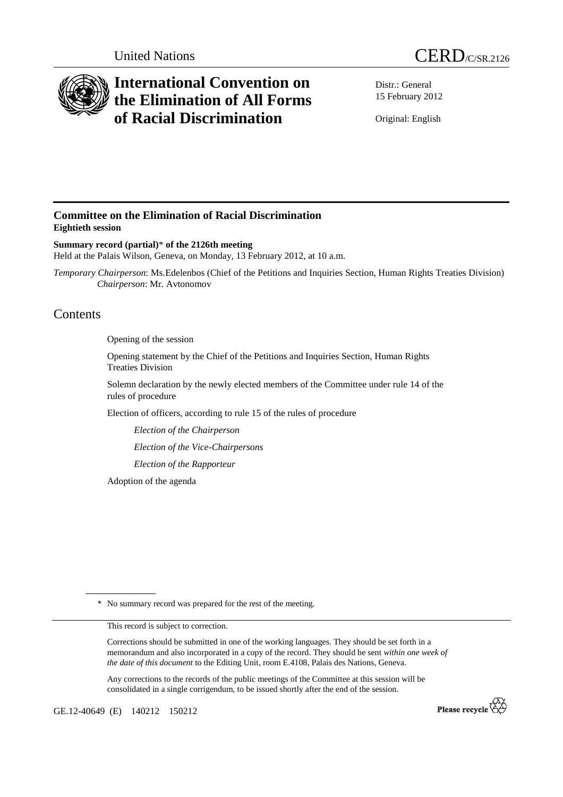



# **International Convention on the Elimination of All Forms of Racial Discrimination**

Distr.: General 15 February 2012

Original: English

# **Committee on the Elimination of Racial Discrimination Eightieth session**

**Summary record (partial)**\* **of the 2126th meeting**  Held at the Palais Wilson, Geneva, on Monday, 13 February 2012, at 10 a.m.

*Temporary Chairperson*: Ms.Edelenbos (Chief of the Petitions and Inquiries Section, Human Rights Treaties Division)  *Chairperson*: Mr. Avtonomov

# Contents

Opening of the session

Opening statement by the Chief of the Petitions and Inquiries Section, Human Rights Treaties Division

Solemn declaration by the newly elected members of the Committee under rule 14 of the rules of procedure

Election of officers, according to rule 15 of the rules of procedure

*Election of the Chairperson* 

*Election of the Vice-Chairpersons* 

*Election of the Rapporteur* 

Adoption of the agenda

\* No summary record was prepared for the rest of the meeting.

This record is subject to correction.

Corrections should be submitted in one of the working languages. They should be set forth in a memorandum and also incorporated in a copy of the record. They should be sent *within one week of the date of this document* to the Editing Unit, room E.4108, Palais des Nations, Geneva.

Any corrections to the records of the public meetings of the Committee at this session will be consolidated in a single corrigendum, to be issued shortly after the end of the session.

GE.12-40649 (E) 140212 150212

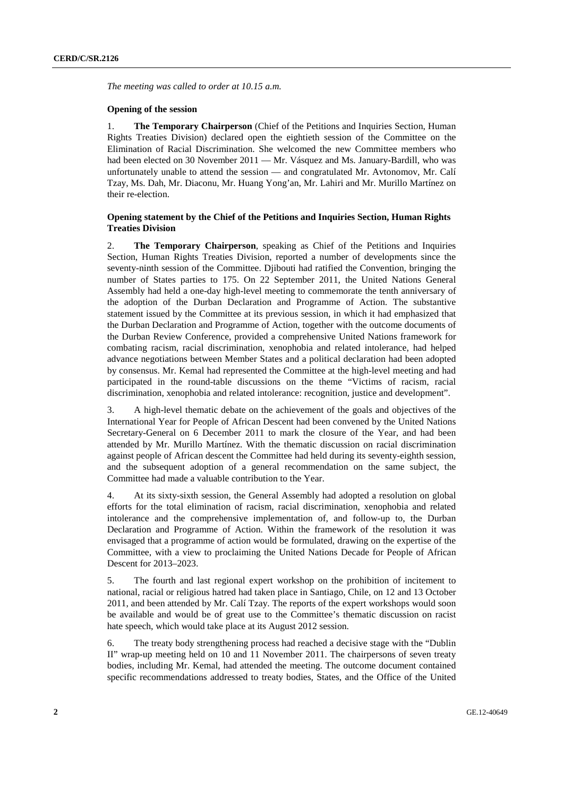*The meeting was called to order at 10.15 a.m.* 

#### **Opening of the session**

1. **The Temporary Chairperson** (Chief of the Petitions and Inquiries Section, Human Rights Treaties Division) declared open the eightieth session of the Committee on the Elimination of Racial Discrimination. She welcomed the new Committee members who had been elected on 30 November 2011 — Mr. Vásquez and Ms. January-Bardill, who was unfortunately unable to attend the session — and congratulated Mr. Avtonomov, Mr. Calí Tzay, Ms. Dah, Mr. Diaconu, Mr. Huang Yong'an, Mr. Lahiri and Mr. Murillo Martínez on their re-election.

## **Opening statement by the Chief of the Petitions and Inquiries Section, Human Rights Treaties Division**

2. **The Temporary Chairperson**, speaking as Chief of the Petitions and Inquiries Section, Human Rights Treaties Division, reported a number of developments since the seventy-ninth session of the Committee. Diibouti had ratified the Convention, bringing the number of States parties to 175. On 22 September 2011, the United Nations General Assembly had held a one-day high-level meeting to commemorate the tenth anniversary of the adoption of the Durban Declaration and Programme of Action. The substantive statement issued by the Committee at its previous session, in which it had emphasized that the Durban Declaration and Programme of Action, together with the outcome documents of the Durban Review Conference, provided a comprehensive United Nations framework for combating racism, racial discrimination, xenophobia and related intolerance, had helped advance negotiations between Member States and a political declaration had been adopted by consensus. Mr. Kemal had represented the Committee at the high-level meeting and had participated in the round-table discussions on the theme "Victims of racism, racial discrimination, xenophobia and related intolerance: recognition, justice and development".

3. A high-level thematic debate on the achievement of the goals and objectives of the International Year for People of African Descent had been convened by the United Nations Secretary-General on 6 December 2011 to mark the closure of the Year, and had been attended by Mr. Murillo Martínez. With the thematic discussion on racial discrimination against people of African descent the Committee had held during its seventy-eighth session, and the subsequent adoption of a general recommendation on the same subject, the Committee had made a valuable contribution to the Year.

4. At its sixty-sixth session, the General Assembly had adopted a resolution on global efforts for the total elimination of racism, racial discrimination, xenophobia and related intolerance and the comprehensive implementation of, and follow-up to, the Durban Declaration and Programme of Action. Within the framework of the resolution it was envisaged that a programme of action would be formulated, drawing on the expertise of the Committee, with a view to proclaiming the United Nations Decade for People of African Descent for 2013–2023.

5. The fourth and last regional expert workshop on the prohibition of incitement to national, racial or religious hatred had taken place in Santiago, Chile, on 12 and 13 October 2011, and been attended by Mr. Calí Tzay. The reports of the expert workshops would soon be available and would be of great use to the Committee's thematic discussion on racist hate speech, which would take place at its August 2012 session.

6. The treaty body strengthening process had reached a decisive stage with the "Dublin II" wrap-up meeting held on 10 and 11 November 2011. The chairpersons of seven treaty bodies, including Mr. Kemal, had attended the meeting. The outcome document contained specific recommendations addressed to treaty bodies, States, and the Office of the United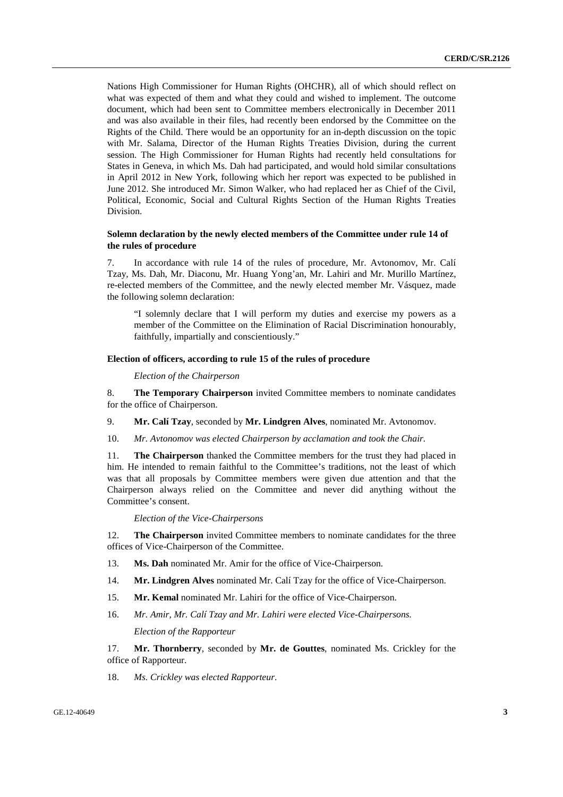Nations High Commissioner for Human Rights (OHCHR), all of which should reflect on what was expected of them and what they could and wished to implement. The outcome document, which had been sent to Committee members electronically in December 2011 and was also available in their files, had recently been endorsed by the Committee on the Rights of the Child. There would be an opportunity for an in-depth discussion on the topic with Mr. Salama, Director of the Human Rights Treaties Division, during the current session. The High Commissioner for Human Rights had recently held consultations for States in Geneva, in which Ms. Dah had participated, and would hold similar consultations in April 2012 in New York, following which her report was expected to be published in June 2012. She introduced Mr. Simon Walker, who had replaced her as Chief of the Civil, Political, Economic, Social and Cultural Rights Section of the Human Rights Treaties Division.

## **Solemn declaration by the newly elected members of the Committee under rule 14 of the rules of procedure**

7. In accordance with rule 14 of the rules of procedure, Mr. Avtonomov, Mr. Calí Tzay, Ms. Dah, Mr. Diaconu, Mr. Huang Yong'an, Mr. Lahiri and Mr. Murillo Martínez, re-elected members of the Committee, and the newly elected member Mr. Vásquez, made the following solemn declaration:

"I solemnly declare that I will perform my duties and exercise my powers as a member of the Committee on the Elimination of Racial Discrimination honourably, faithfully, impartially and conscientiously."

## **Election of officers, according to rule 15 of the rules of procedure**

*Election of the Chairperson* 

8. **The Temporary Chairperson** invited Committee members to nominate candidates for the office of Chairperson.

9. **Mr. Calí Tzay**, seconded by **Mr. Lindgren Alves**, nominated Mr. Avtonomov.

10. *Mr. Avtonomov was elected Chairperson by acclamation and took the Chair.*

11. **The Chairperson** thanked the Committee members for the trust they had placed in him. He intended to remain faithful to the Committee's traditions, not the least of which was that all proposals by Committee members were given due attention and that the Chairperson always relied on the Committee and never did anything without the Committee's consent.

#### *Election of the Vice-Chairpersons*

12. **The Chairperson** invited Committee members to nominate candidates for the three offices of Vice-Chairperson of the Committee.

- 13. **Ms. Dah** nominated Mr. Amir for the office of Vice-Chairperson.
- 14. **Mr. Lindgren Alves** nominated Mr. Calí Tzay for the office of Vice-Chairperson.
- 15. **Mr. Kemal** nominated Mr. Lahiri for the office of Vice-Chairperson.
- 16. *Mr. Amir, Mr. Calí Tzay and Mr. Lahiri were elected Vice-Chairpersons. Election of the Rapporteur*

17. **Mr. Thornberry**, seconded by **Mr. de Gouttes**, nominated Ms. Crickley for the office of Rapporteur.

18. *Ms. Crickley was elected Rapporteur*.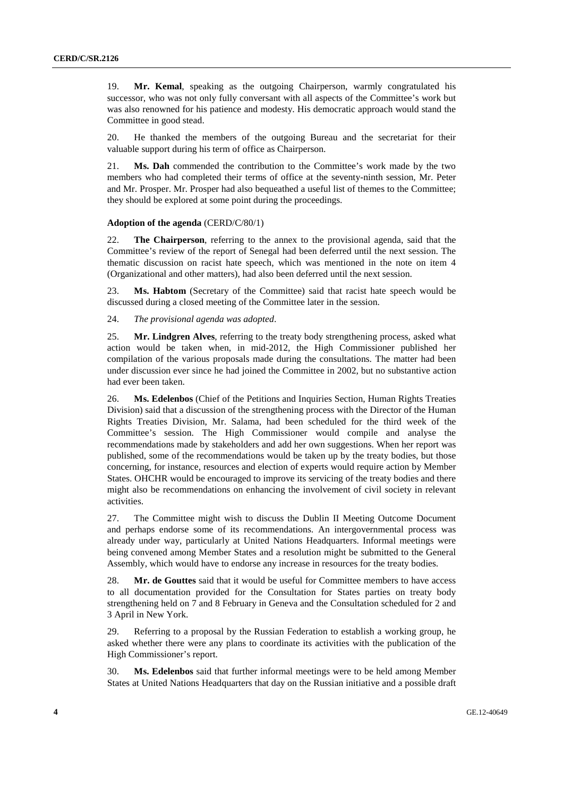19. **Mr. Kemal**, speaking as the outgoing Chairperson, warmly congratulated his successor, who was not only fully conversant with all aspects of the Committee's work but was also renowned for his patience and modesty. His democratic approach would stand the Committee in good stead.

20. He thanked the members of the outgoing Bureau and the secretariat for their valuable support during his term of office as Chairperson.

21. **Ms. Dah** commended the contribution to the Committee's work made by the two members who had completed their terms of office at the seventy-ninth session, Mr. Peter and Mr. Prosper. Mr. Prosper had also bequeathed a useful list of themes to the Committee; they should be explored at some point during the proceedings.

#### **Adoption of the agenda** (CERD/C/80/1)

22. **The Chairperson**, referring to the annex to the provisional agenda, said that the Committee's review of the report of Senegal had been deferred until the next session. The thematic discussion on racist hate speech, which was mentioned in the note on item 4 (Organizational and other matters), had also been deferred until the next session.

23. **Ms. Habtom** (Secretary of the Committee) said that racist hate speech would be discussed during a closed meeting of the Committee later in the session.

24. *The provisional agenda was adopted*.

25. **Mr. Lindgren Alves**, referring to the treaty body strengthening process, asked what action would be taken when, in mid-2012, the High Commissioner published her compilation of the various proposals made during the consultations. The matter had been under discussion ever since he had joined the Committee in 2002, but no substantive action had ever been taken.

26. **Ms. Edelenbos** (Chief of the Petitions and Inquiries Section, Human Rights Treaties Division) said that a discussion of the strengthening process with the Director of the Human Rights Treaties Division, Mr. Salama, had been scheduled for the third week of the Committee's session. The High Commissioner would compile and analyse the recommendations made by stakeholders and add her own suggestions. When her report was published, some of the recommendations would be taken up by the treaty bodies, but those concerning, for instance, resources and election of experts would require action by Member States. OHCHR would be encouraged to improve its servicing of the treaty bodies and there might also be recommendations on enhancing the involvement of civil society in relevant activities.

27. The Committee might wish to discuss the Dublin II Meeting Outcome Document and perhaps endorse some of its recommendations. An intergovernmental process was already under way, particularly at United Nations Headquarters. Informal meetings were being convened among Member States and a resolution might be submitted to the General Assembly, which would have to endorse any increase in resources for the treaty bodies.

28. **Mr. de Gouttes** said that it would be useful for Committee members to have access to all documentation provided for the Consultation for States parties on treaty body strengthening held on 7 and 8 February in Geneva and the Consultation scheduled for 2 and 3 April in New York.

29. Referring to a proposal by the Russian Federation to establish a working group, he asked whether there were any plans to coordinate its activities with the publication of the High Commissioner's report.

30. **Ms. Edelenbos** said that further informal meetings were to be held among Member States at United Nations Headquarters that day on the Russian initiative and a possible draft